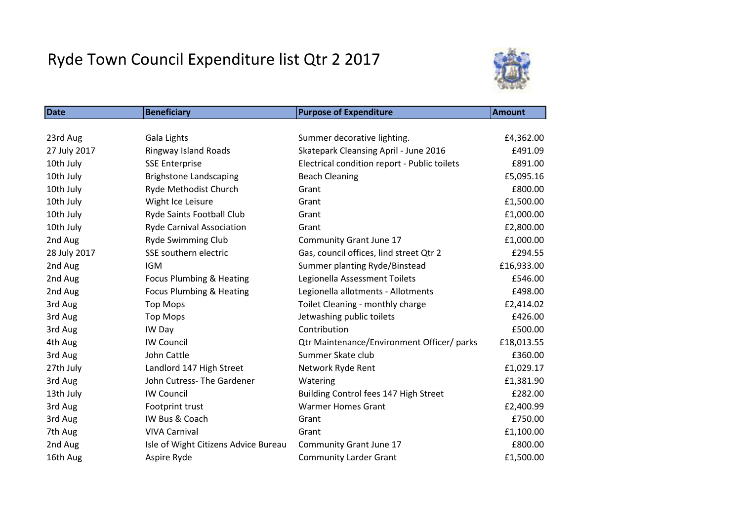## Ryde Town Council Expenditure list Qtr 2 2017



| <b>Date</b>  | <b>Beneficiary</b>                   | <b>Purpose of Expenditure</b>                | <b>Amount</b> |
|--------------|--------------------------------------|----------------------------------------------|---------------|
|              |                                      |                                              |               |
| 23rd Aug     | Gala Lights                          | Summer decorative lighting.                  | £4,362.00     |
| 27 July 2017 | Ringway Island Roads                 | Skatepark Cleansing April - June 2016        | £491.09       |
| 10th July    | <b>SSE Enterprise</b>                | Electrical condition report - Public toilets | £891.00       |
| 10th July    | <b>Brighstone Landscaping</b>        | <b>Beach Cleaning</b>                        | £5,095.16     |
| 10th July    | Ryde Methodist Church                | Grant                                        | £800.00       |
| 10th July    | Wight Ice Leisure                    | Grant                                        | £1,500.00     |
| 10th July    | Ryde Saints Football Club            | Grant                                        | £1,000.00     |
| 10th July    | <b>Ryde Carnival Association</b>     | Grant                                        | £2,800.00     |
| 2nd Aug      | <b>Ryde Swimming Club</b>            | Community Grant June 17                      | £1,000.00     |
| 28 July 2017 | SSE southern electric                | Gas, council offices, lind street Qtr 2      | £294.55       |
| 2nd Aug      | <b>IGM</b>                           | Summer planting Ryde/Binstead                | £16,933.00    |
| 2nd Aug      | <b>Focus Plumbing &amp; Heating</b>  | Legionella Assessment Toilets                | £546.00       |
| 2nd Aug      | <b>Focus Plumbing &amp; Heating</b>  | Legionella allotments - Allotments           | £498.00       |
| 3rd Aug      | <b>Top Mops</b>                      | Toilet Cleaning - monthly charge             | £2,414.02     |
| 3rd Aug      | <b>Top Mops</b>                      | Jetwashing public toilets                    | £426.00       |
| 3rd Aug      | IW Day                               | Contribution                                 | £500.00       |
| 4th Aug      | <b>IW Council</b>                    | Qtr Maintenance/Environment Officer/ parks   | £18,013.55    |
| 3rd Aug      | John Cattle                          | Summer Skate club                            | £360.00       |
| 27th July    | Landlord 147 High Street             | Network Ryde Rent                            | £1,029.17     |
| 3rd Aug      | John Cutress-The Gardener            | Watering                                     | £1,381.90     |
| 13th July    | <b>IW Council</b>                    | Building Control fees 147 High Street        | £282.00       |
| 3rd Aug      | Footprint trust                      | <b>Warmer Homes Grant</b>                    | £2,400.99     |
| 3rd Aug      | IW Bus & Coach                       | Grant                                        | £750.00       |
| 7th Aug      | <b>VIVA Carnival</b>                 | Grant                                        | £1,100.00     |
| 2nd Aug      | Isle of Wight Citizens Advice Bureau | Community Grant June 17                      | £800.00       |
| 16th Aug     | Aspire Ryde                          | <b>Community Larder Grant</b>                | £1,500.00     |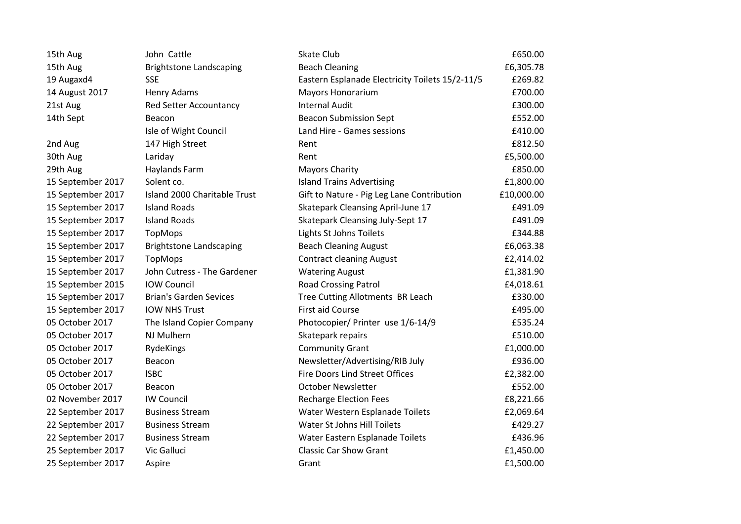| 15th Aug          | John Cattle                    | Skate Club                                      | £650.00    |
|-------------------|--------------------------------|-------------------------------------------------|------------|
| 15th Aug          | <b>Brightstone Landscaping</b> | <b>Beach Cleaning</b>                           | £6,305.78  |
| 19 Augaxd4        | <b>SSE</b>                     | Eastern Esplanade Electricity Toilets 15/2-11/5 | £269.82    |
| 14 August 2017    | Henry Adams                    | Mayors Honorarium                               | £700.00    |
| 21st Aug          | <b>Red Setter Accountancy</b>  | <b>Internal Audit</b>                           | £300.00    |
| 14th Sept         | Beacon                         | <b>Beacon Submission Sept</b>                   | £552.00    |
|                   | Isle of Wight Council          | Land Hire - Games sessions                      | £410.00    |
| 2nd Aug           | 147 High Street                | Rent                                            | £812.50    |
| 30th Aug          | Lariday                        | Rent                                            | £5,500.00  |
| 29th Aug          | <b>Haylands Farm</b>           | <b>Mayors Charity</b>                           | £850.00    |
| 15 September 2017 | Solent co.                     | <b>Island Trains Advertising</b>                | £1,800.00  |
| 15 September 2017 | Island 2000 Charitable Trust   | Gift to Nature - Pig Leg Lane Contribution      | £10,000.00 |
| 15 September 2017 | <b>Island Roads</b>            | Skatepark Cleansing April-June 17               | £491.09    |
| 15 September 2017 | <b>Island Roads</b>            | Skatepark Cleansing July-Sept 17                | £491.09    |
| 15 September 2017 | TopMops                        | Lights St Johns Toilets                         | £344.88    |
| 15 September 2017 | <b>Brightstone Landscaping</b> | <b>Beach Cleaning August</b>                    | £6,063.38  |
| 15 September 2017 | <b>TopMops</b>                 | <b>Contract cleaning August</b>                 | £2,414.02  |
| 15 September 2017 | John Cutress - The Gardener    | <b>Watering August</b>                          | £1,381.90  |
| 15 September 2015 | <b>IOW Council</b>             | <b>Road Crossing Patrol</b>                     | £4,018.61  |
| 15 September 2017 | <b>Brian's Garden Sevices</b>  | Tree Cutting Allotments BR Leach                | £330.00    |
| 15 September 2017 | <b>IOW NHS Trust</b>           | <b>First aid Course</b>                         | £495.00    |
| 05 October 2017   | The Island Copier Company      | Photocopier/ Printer use 1/6-14/9               | £535.24    |
| 05 October 2017   | NJ Mulhern                     | Skatepark repairs                               | £510.00    |
| 05 October 2017   | RydeKings                      | <b>Community Grant</b>                          | £1,000.00  |
| 05 October 2017   | Beacon                         | Newsletter/Advertising/RIB July                 | £936.00    |
| 05 October 2017   | <b>ISBC</b>                    | Fire Doors Lind Street Offices                  | £2,382.00  |
| 05 October 2017   | Beacon                         | <b>October Newsletter</b>                       | £552.00    |
| 02 November 2017  | <b>IW Council</b>              | <b>Recharge Election Fees</b>                   | £8,221.66  |
| 22 September 2017 | <b>Business Stream</b>         | Water Western Esplanade Toilets                 | £2,069.64  |
| 22 September 2017 | <b>Business Stream</b>         | Water St Johns Hill Toilets                     | £429.27    |
| 22 September 2017 | <b>Business Stream</b>         | Water Eastern Esplanade Toilets                 | £436.96    |
| 25 September 2017 | Vic Galluci                    | <b>Classic Car Show Grant</b>                   | £1,450.00  |
| 25 September 2017 | Aspire                         | Grant                                           | £1,500.00  |